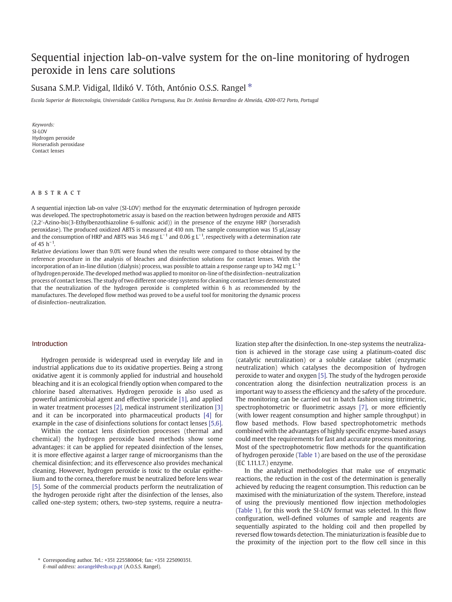## Sequential injection lab-on-valve system for t[he](http://www.sciencedirect.com/science/journal/0026265X) [on-lin](http://www.sciencedirect.com/science/journal/0026265X)e monitoring of hydrogen peroxide in lens care solutions

## Susana S.M.P. Vidigal, Ildikó V. Tóth, António O.S.S. Rangel  $*$

Escola Superior de Biotecnologia, Universidade Católica Portuguesa, Rua Dr. António Bernardino de Almeida, 4200-072 Porto, Portugal

Keywords: SI-LOV Hydrogen peroxide Horseradish peroxidase Contact lenses

### ABSTRACT

A sequential injection lab-on valve (SI-LOV) method for the enzymatic determination of hydrogen peroxide was developed. The spectrophotometric assay is based on the reaction between hydrogen peroxide and ABTS (2,2′-Azino-bis(3-Ethylbenzothiazoline 6-sulfonic acid)) in the presence of the enzyme HRP (horseradish peroxidase). The produced oxidized ABTS is measured at 410 nm. The sample consumption was 15 µL/assay and the consumption of HRP and ABTS was 34.6 mg  $L^{-1}$  and 0.06 g  $L^{-1}$ , respectively with a determination rate of 45 h−<sup>1</sup> .

Relative deviations lower than 9.0% were found when the results were compared to those obtained by the reference procedure in the analysis of bleaches and disinfection solutions for contact lenses. With the incorporation of an in-line dilution (dialysis) process, was possible to attain a response range up to 342 mg  $L^{-1}$ of hydrogen peroxide. The developed method was applied to monitor on-line of the disinfection–neutralization process of contact lenses. The study of two different one-step systems for cleaning contact lenses demonstrated that the neutralization of the hydrogen peroxide is completed within 6 h as recommended by the manufactures. The developed flow method was proved to be a useful tool for monitoring the dynamic process of disinfection–neutralization.

## Introduction

Hydrogen peroxide is widespread used in everyday life and in industrial applications due to its oxidative properties. Being a strong oxidative agent it is commonly applied for industrial and household bleaching and it is an ecological friendly option when compared to the chlorine based alternatives. Hydrogen peroxide is also used as powerful antimicrobial agent and effective sporicide [\[1\]](#page-4-0), and applied in water treatment processes [\[2\]](#page-4-0), medical instrument sterilization [\[3\]](#page-4-0) and it can be incorporated into pharmaceutical products [\[4\]](#page-4-0) for example in the case of disinfections solutions for contact lenses [\[5,6\].](#page-4-0)

Within the contact lens disinfection processes (thermal and chemical) the hydrogen peroxide based methods show some advantages: it can be applied for repeated disinfection of the lenses, it is more effective against a larger range of microorganisms than the chemical disinfection; and its effervescence also provides mechanical cleaning. However, hydrogen peroxide is toxic to the ocular epithelium and to the cornea, therefore must be neutralized before lens wear [\[5\].](#page-4-0) Some of the commercial products perform the neutralization of the hydrogen peroxide right after the disinfection of the lenses, also called one-step system; others, two-step systems, require a neutralization step after the disinfection. In one-step systems the neutralization is achieved in the storage case using a platinum-coated disc (catalytic neutralization) or a soluble catalase tablet (enzymatic neutralization) which catalyses the decomposition of hydrogen peroxide to water and oxygen [\[5\].](#page-4-0) The study of the hydrogen peroxide concentration along the disinfection neutralization process is an important way to assess the efficiency and the safety of the procedure. The monitoring can be carried out in batch fashion using titrimetric, spectrophotometric or fluorimetric assays [\[7\],](#page-4-0) or more efficiently (with lower reagent consumption and higher sample throughput) in flow based methods. Flow based spectrophotometric methods combined with the advantages of highly specific enzyme-based assays could meet the requirements for fast and accurate process monitoring. Most of the spectrophotometric flow methods for the quantification of hydrogen peroxide ([Table 1](#page-1-0)) are based on the use of the peroxidase (EC 1.11.1.7.) enzyme.

In the analytical methodologies that make use of enzymatic reactions, the reduction in the cost of the determination is generally achieved by reducing the reagent consumption. This reduction can be maximised with the miniaturization of the system. Therefore, instead of using the previously mentioned flow injection methodologies ([Table 1](#page-1-0)), for this work the SI-LOV format was selected. In this flow configuration, well-defined volumes of sample and reagents are sequentially aspirated to the holding coil and then propelled by reversed flow towards detection. The miniaturization is feasible due to the proximity of the injection port to the flow cell since in this

<sup>⁎</sup> [Corresponding author. Tel.: +](http://dx.doi.org/10.1016/j.microc.2008.10.007)351 225580064; fax: +351 225090351. E-mail address: aorangel@esb.ucp.pt (A.O.S.S. Rangel).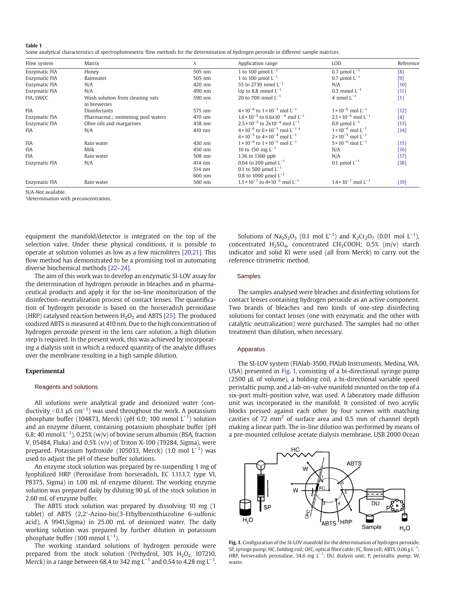#### <span id="page-1-0"></span>Table 1

Some analytical characteristics of spectrophotometric flow methods for the determination of hydrogen peroxide in different sample matrices.

| Flow system   | Matrix                            | л      | Application range                                                | LOD                                      | Reference        |
|---------------|-----------------------------------|--------|------------------------------------------------------------------|------------------------------------------|------------------|
| Enzymatic FIA | Honey                             | 505 nm | 1 to 100 $\mu$ mol $L^{-1}$                                      | 0.7 µmol $L^{-1}$                        | [8]              |
| Enzymatic FIA | Rainwater                         | 505 nm | 1 to 100 $\mu$ mol $L^{-1}$                                      | 0.7 umol $L^{-1}$                        | $[9]$            |
| Enzymatic FIA | N/A                               | 420 nm | 55 to 2730 nmol $L^{-1}$                                         | N/A                                      | $\vert 10 \vert$ |
| Enzymatic FIA | N/A                               | 490 nm | Up to 8.8 mmol $L^{-1}$                                          | 0.3 mmol $L^{-1}$                        | $[11]$           |
| FIA. LWCC     | Wash solution from cleaning vats  | 590 nm | 20 to 700 nmol $L^{-1}$                                          | 4 nmol $L^{-1}$                          | $[1]$            |
|               | in breweries                      |        |                                                                  |                                          |                  |
| <b>FIA</b>    | <b>Disinfectants</b>              | 575 nm | $4 \times 10^{-6}$ to $1 \times 10^{-3}$ mol L <sup>-1</sup>     | $1 \times 10^{-6}$ mol L <sup>-1</sup>   | $[12]$           |
| Enzymatic FIA | Pharmaceut.; swimming pool waters | 470 nm | $1.6 \times 10^{-5}$ to 6.6x10 <sup>-4</sup> mol L <sup>-1</sup> | $2.1 \times 10^{-6}$ mol L <sup>-1</sup> | [4]              |
| Enzymatic FIA | Olive oils and margarines         | 458 nm | $2.5 \times 10^{-5}$ to $2 \times 10^{-4}$ mol L <sup>-1</sup>   | 0.9 µmol $L^{-1}$                        | [13]             |
| <b>FIA</b>    | N/A                               | 410 nm | $4 \times 10^{-6}$ to $6 \times 10^{-5}$ mol L <sup>-1 a</sup>   | $1 \times 10^{-6}$ mol $L^{-1}$          | $[14]$           |
|               |                                   |        | $4 \times 10^{-5}$ to $4 \times 10^{-4}$ mol $1^{-1}$            | $2 \times 10^{-5}$ mol L <sup>-1</sup>   |                  |
| <b>FIA</b>    | Rain water                        | 450 nm | $1 \times 10^{-8}$ to $1 \times 10^{-5}$ mol L <sup>-1</sup>     | $5 \times 10^{-6}$ mol L <sup>-1</sup>   | $[15]$           |
| <b>FIA</b>    | Milk                              | 450 nm | 10 to 150 mg $L^{-1}$                                            | N/A                                      | [16]             |
| <b>FIA</b>    | Rain water                        | 508 nm | 1.36 to 1360 ppb                                                 | N/A                                      | $[17]$           |
| Enzymatic FIA | N/A                               | 414 nm | 0.04 to 200 µmol $L^{-1}$                                        | 0.1 µmol $L^{-1}$                        | [18]             |
|               |                                   | 514 nm | 0.1 to 500 $\mu$ mol L <sup>-1</sup>                             |                                          |                  |
|               |                                   | 600 nm | 0.8 to 1000 µmol $L^{-1}$                                        |                                          |                  |
| Enzymatic FIA | Rain water                        | 560 nm | $1.5 \times 10^{-7}$ to $4 \times 10^{-5}$ mol L <sup>-1</sup>   | $1.4 \times 10^{-7}$ mol L <sup>-1</sup> | [19]             |

N/A-Not available.

adetermination with preconcentration.

equipment the manifold/detector is integrated on the top of the selection valve. Under these physical conditions, it is possible to operate at solution volumes as low as a few microliters [\[20,21\]](#page-4-0). This flow method has demonstrated to be a promising tool in automating diverse biochemical methods [22–[24\].](#page-4-0)

The aim of this work was to develop an enzymatic SI-LOV assay for the determination of hydrogen peroxide in bleaches and in pharmaceutical products and apply it for the on-line monitorization of the disinfection–neutralization process of contact lenses. The quantification of hydrogen peroxide is based on the horseradish peroxidase (HRP) catalysed reaction between  $H_2O_2$  and ABTS [\[25\].](#page-4-0) The produced oxidized ABTS is measured at 410 nm. Due to the high concentration of hydrogen peroxide present in the lens care solution, a high dilution step is required. In the present work, this was achieved by incorporating a dialysis unit in which a reduced quantity of the analyte diffuses over the membrane resulting in a high sample dilution. The aim of this work was to develop an enzymatic SI-LOV assay for<br>
determination of hydrogen peroxide in bleaches and in pharma-<br>
trical products and apply it for the on-line monitorization of the<br>
The samples<br>
no for the

#### Experimental

All solutions were analytical grade and deionized water (conductivity <0.1  $\mu$ S cm<sup>−1</sup>) was used throughout the work. A potassium phosphate buffer (104873, Merck) (pH 6.0; 100 mmol  $L^{-1}$ ) solution and an enzyme diluent, containing potassium phosphate buffer (pH 6.8; 40 mmol  $L^{-1}$ ), 0.25% (w/v) of bovine serum albumin (BSA, fraction V, 05484, Fluka) and 0.5% (v/v) of Triton X-100 (T9284, Sigma), were prepared. Potassium hydroxide (105033, Merck) (1.0 mol  $L^{-1}$ ) was used to adjust the pH of these buffer solutions.

An enzyme stock solution was prepared by re-suspending 1 mg of lyophilized HRP (Peroxidase from horseradish, EC 1.11.1.7, type VI, P8375, Sigma) in 1.00 mL of enzyme diluent. The working enzyme solution was prepared daily by diluting 90 µL of the stock solution in 2.60 mL of enzyme buffer.

The ABTS stock solution was prepared by dissolving 10 mg (1 tablet) of ABTS (2,2′-Azino-bis(3-Ethylbenzothiazoline 6-sulfonic acid), A 9941,Sigma) in 25.00 mL of deionized water. The daily working solution was prepared by further dilution in potassium phosphate buffer (100 mmol  $L^{-1}$ ).

The working standard solutions of hydrogen peroxide were prepared from the stock solution (Perhydrol,  $30\%$  H<sub>2</sub>O<sub>2</sub> 107210, Merck) in a range between 68.4 to 342 mg L<sup>-1</sup> and 0.54 to 4.28 mg L<sup>-1</sup>.

Solutions of Na<sub>2</sub>S<sub>2</sub>O<sub>3</sub> (0.1 mol L<sup>-1</sup>) and K<sub>2</sub>Cr<sub>2</sub>O<sub>7</sub> (0.01 mol L<sup>-1</sup>), concentrated  $H_2SO_4$ , concentrated CH<sub>3</sub>COOH; 0.5% (m/v) starch indicator and solid KI were used (all from Merck) to carry out the reference titrimetric method.

The samples analysed were bleaches and disinfecting solutions for contact lenses containing hydrogen peroxide as an active component. Two brands of bleaches and two kinds of one-step disinfecting solutions for contact lenses (one with enzymatic and the other with catalytic neutralization) were purchased. The samples had no other treatment than dilution, when necessary.

The SI-LOV system (FIAlab-3500, FIAlab Instruments, Medina, WA, USA) presented in Fig. 1, consisting of a bi-directional syringe pump (2500 µL of volume), a holding coil, a bi-directional variable speed peristaltic pump, and a lab-on-valve manifold mounted on the top of a six-port multi-position valve, was used. A laboratory made diffusion unit was incorporated in the manifold. It consisted of two acrylic blocks pressed against each other by four screws with matching cavities of  $72 \text{ mm}^2$  of surface area and  $0.5 \text{ mm}$  of channel depth making a linear path. The in-line dilution was performed by means of a pre-mounted cellulose acetate dialysis membrane. USB 2000 Ocean



Fig. 1. Configuration of the SI-LOV manifold for the determination of hydrogen peroxide. SP, syringe pump; HC, holding coil; OFC, optical fibre cable; FC, flow cell; ABTS, 0.06 g L<sup>-1</sup>; HRP, horseradish peroxidase, 34.6 mg L<sup>-1</sup>; DU, dialysis unit; P, peristaltic pump; W, waste.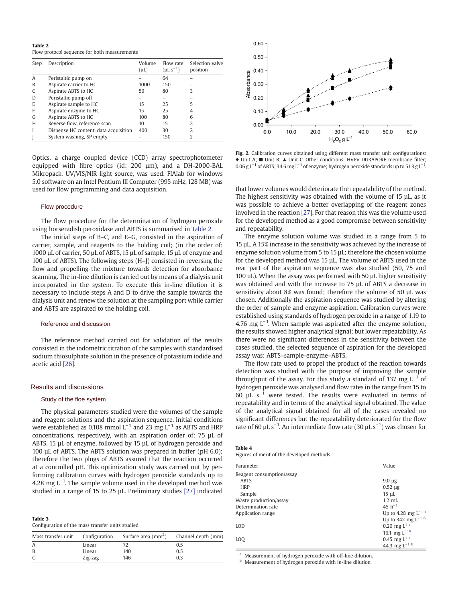<span id="page-2-0"></span>Table 2

Flow protocol sequence for both measurements

| Step | Description                           | Volume<br>$(\mu L)$ | Flow rate<br>$(\mu L s^{-1})$ | Selection valve<br>position |
|------|---------------------------------------|---------------------|-------------------------------|-----------------------------|
| A    | Peristaltic pump on                   |                     | 64                            |                             |
| B    | Aspirate carrier to HC                | 1000                | 150                           |                             |
| C    | Aspirate ABTS to HC                   | 50                  | 80                            | 3                           |
| D    | Peristaltic pump off                  |                     |                               |                             |
| E    | Aspirate sample to HC                 | 15                  | 25                            | 5                           |
| F    | Aspirate enzyme to HC                 | 15                  | 25                            | 4                           |
| G    | Aspirate ABTS to HC                   | 100                 | 80                            | 6                           |
| H    | Reverse flow, reference scan          | 10                  | 15                            | $\mathfrak{D}$              |
|      | Dispense HC content, data acquisition | 400                 | 30                            | 2                           |
|      | System washing, SP empty              |                     | 150                           | 2                           |

Optics, a charge coupled device (CCD) array spectrophotometer equipped with fibre optics (id: 200 µm), and a DH-2000-BAL Mikropack, UV/VIS/NIR light source, was used. FIAlab for windows 5.0 software on an Intel Pentium III Computer (995 mHz, 128 MB) was used for flow programming and data acquisition.

#### Flow procedure

The flow procedure for the determination of hydrogen peroxide using horseradish peroxidase and ABTS is summarised in Table 2.

The initial steps of B–C, and E–G, consisted in the aspiration of carrier, sample, and reagents to the holding coil; (in the order of: 1000 µL of carrier, 50 µL of ABTS, 15 µL of sample, 15 µL of enzyme and 100 µL of ABTS). The following steps (H–J) consisted in reversing the flow and propelling the mixture towards detection for absorbance scanning. The in-line dilution is carried out by means of a dialysis unit incorporated in the system. To execute this in-line dilution it is necessary to include steps A and D to drive the sample towards the dialysis unit and renew the solution at the sampling port while carrier and ABTS are aspirated to the holding coil.

#### Reference and discussion

The reference method carried out for validation of the results consisted in the iodometric titration of the samples with standardised sodium thiosulphate solution in the presence of potassium iodide and acetic acid [\[26\].](#page-4-0)

# Results and discussions<br>Study of the floe system

The physical parameters studied were the volumes of the sample and reagent solutions and the aspiration sequence. Initial conditions were established as 0.108 mmol  $L^{-1}$  and 23 mg  $L^{-1}$  as ABTS and HRP concentrations, respectively, with an aspiration order of: 75 µL of ABTS, 15 µL of enzyme, followed by 15 µL of hydrogen peroxide and 100 µL of ABTS. The ABTS solution was prepared in buffer (pH 6.0); therefore the two plugs of ABTS assured that the reaction occurred at a controlled pH. This optimization study was carried out by performing calibration curves with hydrogen peroxide standards up to 4.28 mg  $L^{-1}$ . The sample volume used in the developed method was studied in a range of 15 to 25 µL. Preliminary studies [\[27\]](#page-4-0) indicated

| Table 3 |                                                  |  |
|---------|--------------------------------------------------|--|
|         | Configuration of the mass transfer units studied |  |

|              |         | Mass transfer unit Configuration Surface area $\text{(mm}^2)$ | Channel depth (mm) |
|--------------|---------|---------------------------------------------------------------|--------------------|
| $\mathsf{A}$ | Linear  |                                                               | 0.5                |
| B            | Linear  | 140                                                           | 0.5                |
|              | Zig-zag | 146                                                           | በ 3                |



Fig. 2. Calibration curves obtained using different mass transfer unit configurations: ♦ Unit A; ■ Unit B; ▲ Unit C. Other conditions: HVPV DURAPORE membrane filter; 0.06 g L<sup>-1</sup> of ABTS; 34.6 mg L<sup>-1</sup> of enzyme; hydrogen peroxide standards up to 51.3 g L<sup>-1</sup>.

that lower volumes would deteriorate the repeatability of the method. The highest sensitivity was obtained with the volume of 15 µL, as it was possible to achieve a better overlapping of the reagent zones involved in the reaction [\[27\].](#page-4-0) For that reason this was the volume used for the developed method as a good compromise between sensitivity and repeatability.

The enzyme solution volume was studied in a range from 5 to 15 µL. A 15% increase in the sensitivity was achieved by the increase of enzyme solution volume from 5 to 15 µL; therefore the chosen volume for the developed method was 15 µL. The volume of ABTS used in the rear part of the aspiration sequence was also studied (50, 75 and 100 µL). When the assay was performed with 50 µL higher sensitivity was obtained and with the increase to 75 µL of ABTS a decrease in sensitivity about 8% was found; therefore the volume of 50 µL was chosen. Additionally the aspiration sequence was studied by altering the order of sample and enzyme aspiration. Calibration curves were established using standards of hydrogen peroxide in a range of 1.19 to 4.76 mg L<sup>-1</sup>. When sample was aspirated after the enzyme solution, the results showed higher analytical signal; but lower repeatability. As there were no significant differences in the sensitivity between the cases studied, the selected sequence of aspiration for the developed assay was: ABTS–sample-enzyme–ABTS.

The flow rate used to propel the product of the reaction towards detection was studied with the purpose of improving the sample throughput of the assay. For this study a standard of 137 mg  $L^{-1}$  of hydrogen peroxide was analysed and flow rates in the range from 15 to 60 µL s<sup>-1</sup> were tested. The results were evaluated in terms of repeatability and in terms of the analytical signal obtained. The value of the analytical signal obtained for all of the cases revealed no significant differences but the repeatability deteriorated for the flow rate of 60 µL s<sup>-1</sup>. An intermediate flow rate (30 µL s<sup>-1</sup>) was chosen for

| . . |  |
|-----|--|
|-----|--|

Figures of merit of the developed methods

| Parameter                 | Value                               |
|---------------------------|-------------------------------------|
| Reagent consumption/assay |                                     |
| <b>ABTS</b>               | $9.0 \mu$ g                         |
| <b>HRP</b>                | $0.52 \mu$ g                        |
| Sample                    | $15 \mu L$                          |
| Waste production/assay    | $1.2$ mL                            |
| Determination rate        | 45 $h^{-1}$                         |
| Application range         | Up to 4.28 mg $L^{-1}$ <sup>a</sup> |
|                           | Up to 342 mg $L^{-1}$ b             |
| LOD                       | 0.20 mg $L^{1}$ <sup>a</sup>        |
|                           | 16.1 mg $L^{-1b}$                   |
| LOO                       | 0.45 mg $L^{1}$ <sup>a</sup>        |
|                           | 44.3 mg $L^{-1}$ b                  |
|                           |                                     |

Measurement of hydrogen peroxide with off-line dilution.

Measurement of hydrogen peroxide with in-line dilution.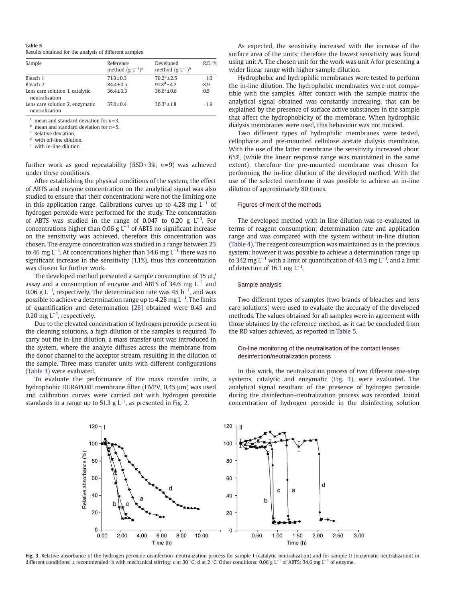#### <span id="page-3-0"></span>Table 5

Results obtained for the analysis of different samples

| Sample                                            | Reference<br>method $(g L^{-1})^a$ | Developed<br>method $(g L^{-1})^b$ | R.D. <sub>6</sub> |
|---------------------------------------------------|------------------------------------|------------------------------------|-------------------|
| Bleach 1                                          | $71.3 \pm 0.3$                     | $70.2^{d}$ ± 2.5                   | $-1.3$            |
| Bleach 2                                          | $84.4 \pm 0.5$                     | $91.8^d$ ± 4.2                     | 8.9               |
| Lens care solution 1, catalytic<br>neutralization | $36.4 \pm 0.3$                     | $36.6^e \pm 0.8$                   | 0.5               |
| Lens care solution 2, enzymatic<br>neutralization | $37.0 \pm 0.4$                     | $36.3^e \pm 1.8$                   | $-1.9$            |

<sup>a</sup> mean and standard deviation for  $n=3$ .

mean and standard deviation for  $n=5$ .

<sup>c</sup> Relative deviation.

with off-line dilution.

with in-line dilution.

further work as good repeatability (RSD < 3%; n=9) was achieved under these conditions.

After establishing the physical conditions of the system, the effect of ABTS and enzyme concentration on the analytical signal was also studied to ensure that their concentrations were not the limiting one in this application range. Calibrations curves up to 4.28 mg  $L^{-1}$  of hydrogen peroxide were performed for the study. The concentration of ABTS was studied in the range of 0.047 to 0.20 g  $L^{-1}$ . For concentrations higher than 0.06 g  $L^{-1}$  of ABTS no significant increase on the sensitivity was achieved, therefore this concentration was chosen. The enzyme concentration was studied in a range between 23 to 46 mg L<sup>-1</sup>. At concentrations higher than 34.6 mg L<sup>-1</sup> there was no significant increase in the sensitivity (1.1%), thus this concentration was chosen for further work.

The developed method presented a sample consumption of 15 µL/ assay and a consumption of enzyme and ABTS of 34.6 mg  $L^{-1}$  and 0.06 g L<sup>-1</sup>, respectively. The determination rate was 45 h<sup>-1</sup>, and was possible to achieve a determination range up to 4.28 mg L<sup>-1</sup>. The limits of quantification and determination [\[28\]](#page-4-0) obtained were 0.45 and 0.20 mg L<sup>-1</sup>, respectively.

Due to the elevated concentration of hydrogen peroxide present in the cleaning solutions, a high dilution of the samples is required. To carry out the in-line dilution, a mass transfer unit was introduced in the system, where the analyte diffuses across the membrane from the donor channel to the acceptor stream, resulting in the dilution of the sample. Three mass transfer units with different configurations ([Table 3\)](#page-2-0) were evaluated.

To evaluate the performance of the mass transfer units, a hydrophobic DURAPORE membrane filter (HVPV, 0.45 µm) was used and calibration curves were carried out with hydrogen peroxide standards in a range up to 51.3 g  $L^{-1}$ , as presented in [Fig. 2](#page-2-0).

As expected, the sensitivity increased with the increase of the surface area of the units; therefore the lowest sensitivity was found using unit A. The chosen unit for the work was unit A for presenting a wider linear range with higher sample dilution.

Hydrophobic and hydrophilic membranes were tested to perform the in-line dilution. The hydrophobic membranes were not compatible with the samples. After contact with the sample matrix the analytical signal obtained was constantly increasing, that can be explained by the presence of surface active substances in the sample that affect the hydrophobicity of the membrane. When hydrophilic dialysis membranes were used, this behaviour was not noticed.

Two different types of hydrophilic membranes were tested, cellophane and pre-mounted cellulose acetate dialysis membrane. With the use of the latter membrane the sensitivity increased about 65%, (while the linear response range was maintained in the same extent); therefore the pre-mounted membrane was chosen for performing the in-line dilution of the developed method. With the use of the selected membrane it was possible to achieve an in-line dilution of approximately 80 times.

#### Figures of merit of the methods

The developed method with in line dilution was re-evaluated in terms of reagent consumption; determination rate and application range and was compared with the system without in-line dilution ([Table 4](#page-2-0)). The reagent consumption was maintained as in the previous system; however it was possible to achieve a determination range up to 342 mg L<sup>-1</sup> with a limit of quantification of 44.3 mg L<sup>-1</sup>, and a limit of detection of 16.1 mg  $L^{-1}$ .

#### Sample analysis

Two different types of samples (two brands of bleaches and lens care solutions) were used to evaluate the accuracy of the developed methods. The values obtained for all samples were in agreement with those obtained by the reference method, as it can be concluded from the RD values achieved, as reported in Table 5.

## On-line monitoring of the neutralisation of the contact lenses desinfection/neutralization process

In this work, the neutralization process of two different one-step systems, catalytic and enzymatic (Fig. 3), were evaluated. The analytical signal resultant of the presence of hydrogen peroxide during the disinfection–neutralization process was recorded. Initial concentration of hydrogen peroxide in the disinfecting solution



Fig. 3. Relative absorbance of the hydrogen peroxide disinfection-neutralization process for sample I (catalytic neutralization) and for sample II (enzymatic neutralization) in different conditions: a recommended; b with mechanical stirring; c at 30 °C; d at 2 °C. Other conditions: 0.06 g L−<sup>1</sup> of ABTS; 34.6 mg L−<sup>1</sup> of enzyme.